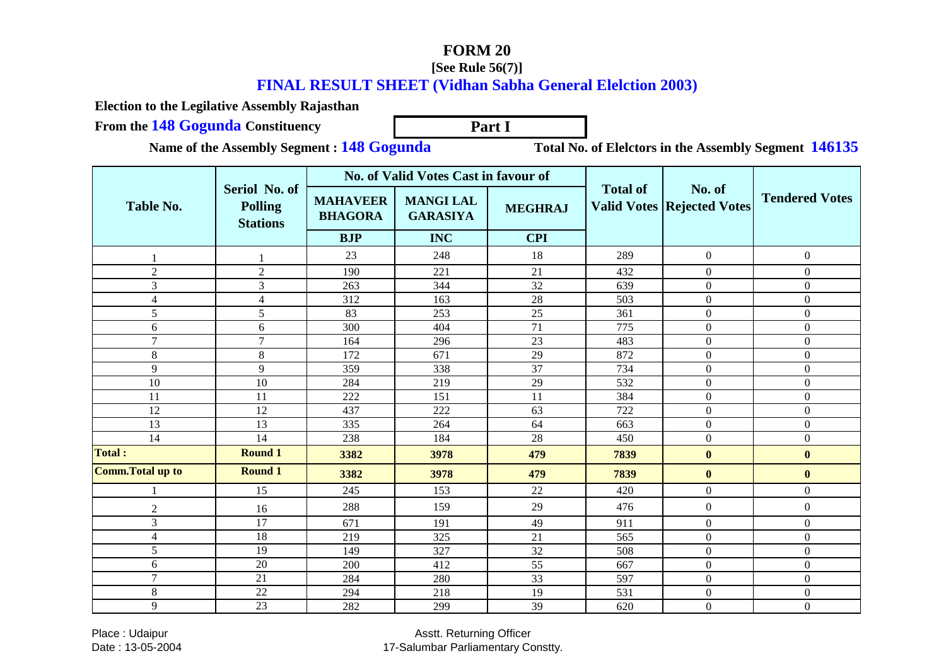## **FORM 20**

## **[See Rule 56(7)]**

## **FINAL RESULT SHEET (Vidhan Sabha General Elelction 2003)**

**Election to the Legilative Assembly Rajasthan**

**From the 148 Gogunda Constituency Part I**

**Name of the Assembly Segment : 148 Gogunda**

**Total No. of Elelctors in the Assembly Segment <sup>146135</sup>**

|                  |                                                    | No. of Valid Votes Cast in favour of |                                     |                 |                 |                                             |                       |
|------------------|----------------------------------------------------|--------------------------------------|-------------------------------------|-----------------|-----------------|---------------------------------------------|-----------------------|
| Table No.        | Seriol No. of<br><b>Polling</b><br><b>Stations</b> | <b>MAHAVEER</b><br><b>BHAGORA</b>    | <b>MANGI LAL</b><br><b>GARASIYA</b> | <b>MEGHRAJ</b>  | <b>Total of</b> | No. of<br><b>Valid Votes Rejected Votes</b> | <b>Tendered Votes</b> |
|                  |                                                    | <b>BJP</b>                           | <b>INC</b>                          | <b>CPI</b>      |                 |                                             |                       |
|                  |                                                    | 23                                   | 248                                 | 18              | 289             | $\overline{0}$                              | $\boldsymbol{0}$      |
| $\overline{2}$   | $\sqrt{2}$                                         | 190                                  | 221                                 | 21              | 432             | $\Omega$                                    | $\overline{0}$        |
| $\overline{3}$   | 3                                                  | 263                                  | 344                                 | 32              | 639             | $\Omega$                                    | $\overline{0}$        |
| $\overline{4}$   | $\overline{4}$                                     | 312                                  | 163                                 | 28              | 503             | $\overline{0}$                              | $\overline{0}$        |
| $\overline{5}$   | $\overline{5}$                                     | 83                                   | 253                                 | 25              | 361             | $\overline{0}$                              | $\overline{0}$        |
| 6                | 6                                                  | 300                                  | 404                                 | 71              | 775             | $\overline{0}$                              | $\overline{0}$        |
| $\tau$           | $\tau$                                             | 164                                  | 296                                 | 23              | 483             | $\Omega$                                    | $\overline{0}$        |
| 8                | 8                                                  | 172                                  | 671                                 | 29              | 872             | $\Omega$                                    | $\Omega$              |
| 9                | 9                                                  | 359                                  | 338                                 | 37              | 734             | $\overline{0}$                              | $\overline{0}$        |
| 10               | 10                                                 | 284                                  | 219                                 | 29              | 532             | $\overline{0}$                              | $\overline{0}$        |
| 11               | 11                                                 | 222                                  | 151                                 | 11              | 384             | $\Omega$                                    | $\Omega$              |
| 12               | 12                                                 | 437                                  | 222                                 | 63              | 722             | $\overline{0}$                              | $\overline{0}$        |
| $\overline{13}$  | 13                                                 | 335                                  | 264                                 | 64              | 663             | $\mathbf{0}$                                | $\overline{0}$        |
| 14               | 14                                                 | 238                                  | 184                                 | 28              | 450             | $\overline{0}$                              | $\overline{0}$        |
| <b>Total:</b>    | <b>Round 1</b>                                     | 3382                                 | 3978                                | 479             | 7839            | $\mathbf{0}$                                | $\bf{0}$              |
| Comm.Total up to | <b>Round 1</b>                                     | 3382                                 | 3978                                | 479             | 7839            | $\bf{0}$                                    | $\bf{0}$              |
|                  | 15                                                 | 245                                  | 153                                 | 22              | 420             | $\overline{0}$                              | $\overline{0}$        |
| $\overline{2}$   | 16                                                 | 288                                  | 159                                 | 29              | 476             | $\overline{0}$                              | $\overline{0}$        |
| 3                | 17                                                 | 671                                  | 191                                 | 49              | 911             | $\Omega$                                    | $\Omega$              |
| $\overline{4}$   | 18                                                 | 219                                  | 325                                 | 21              | 565             | $\Omega$                                    | $\boldsymbol{0}$      |
| 5                | $\overline{19}$                                    | 149                                  | 327                                 | 32              | 508             | $\overline{0}$                              | $\overline{0}$        |
| 6                | 20                                                 | 200                                  | 412                                 | 55              | 667             | $\overline{0}$                              | $\mathbf{0}$          |
| $\overline{7}$   | $\overline{21}$                                    | 284                                  | 280                                 | $\overline{33}$ | 597             | $\overline{0}$                              | $\overline{0}$        |
| 8                | 22                                                 | 294                                  | 218                                 | 19              | 531             | $\overline{0}$                              | $\overline{0}$        |
| 9                | 23                                                 | 282                                  | 299                                 | 39              | 620             | $\overline{0}$                              | $\overline{0}$        |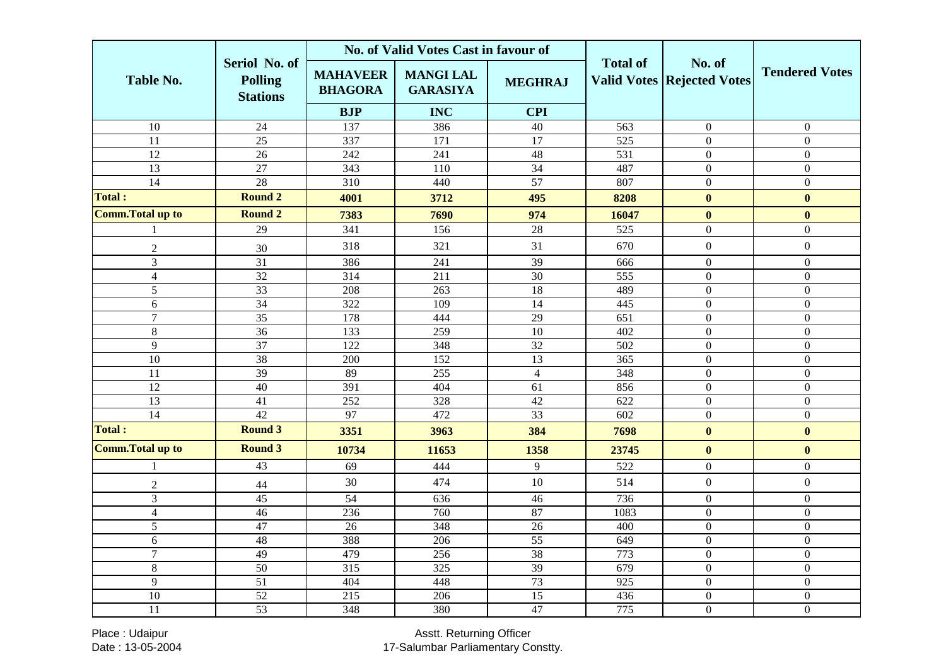|                          |                                                    | No. of Valid Votes Cast in favour of |                                     |                 |                 |                                             |                       |
|--------------------------|----------------------------------------------------|--------------------------------------|-------------------------------------|-----------------|-----------------|---------------------------------------------|-----------------------|
| <b>Table No.</b>         | Seriol No. of<br><b>Polling</b><br><b>Stations</b> | <b>MAHAVEER</b><br><b>BHAGORA</b>    | <b>MANGI LAL</b><br><b>GARASIYA</b> | <b>MEGHRAJ</b>  | <b>Total of</b> | No. of<br><b>Valid Votes Rejected Votes</b> | <b>Tendered Votes</b> |
|                          |                                                    | <b>BJP</b>                           | <b>INC</b>                          | <b>CPI</b>      |                 |                                             |                       |
| $\overline{10}$          | 24                                                 | 137                                  | 386                                 | 40              | 563             | $\overline{0}$                              | $\boldsymbol{0}$      |
| $\overline{11}$          | $\overline{25}$                                    | 337                                  | $\overline{171}$                    | 17              | 525             | $\mathbf{0}$                                | $\overline{0}$        |
| 12                       | $\overline{26}$                                    | 242                                  | 241                                 | 48              | 531             | $\overline{0}$                              | $\boldsymbol{0}$      |
| $\overline{13}$          | $\overline{27}$                                    | $\overline{343}$                     | 110                                 | $\overline{34}$ | 487             | $\boldsymbol{0}$                            | $\overline{0}$        |
| 14                       | 28                                                 | 310                                  | 440                                 | $\overline{57}$ | 807             | $\boldsymbol{0}$                            | $\overline{0}$        |
| <b>Total:</b>            | <b>Round 2</b>                                     | 4001                                 | 3712                                | 495             | 8208            | $\bf{0}$                                    | $\bf{0}$              |
| <b>Comm. Total up to</b> | <b>Round 2</b>                                     | 7383                                 | 7690                                | 974             | 16047           | $\bf{0}$                                    | $\bf{0}$              |
|                          | 29                                                 | 341                                  | 156                                 | 28              | 525             | $\boldsymbol{0}$                            | $\boldsymbol{0}$      |
| $\sqrt{2}$               | 30                                                 | 318                                  | 321                                 | 31              | 670             | $\boldsymbol{0}$                            | $\boldsymbol{0}$      |
| 3                        | $\overline{31}$                                    | 386                                  | 241                                 | 39              | 666             | $\boldsymbol{0}$                            | $\boldsymbol{0}$      |
| $\overline{4}$           | 32                                                 | 314                                  | 211                                 | 30              | 555             | $\boldsymbol{0}$                            | $\overline{0}$        |
| $\overline{5}$           | $\overline{33}$                                    | 208                                  | $\overline{263}$                    | $\overline{18}$ | 489             | $\mathbf{0}$                                | $\mathbf{0}$          |
| 6                        | 34                                                 | 322                                  | 109                                 | 14              | 445             | $\boldsymbol{0}$                            | $\boldsymbol{0}$      |
| $\overline{7}$           | $\overline{35}$                                    | 178                                  | 444                                 | $\overline{29}$ | 651             | $\mathbf{0}$                                | $\boldsymbol{0}$      |
| 8                        | $\overline{36}$                                    | 133                                  | 259                                 | 10              | 402             | $\boldsymbol{0}$                            | $\overline{0}$        |
| $\overline{9}$           | $\overline{37}$                                    | $\overline{122}$                     | 348                                 | $\overline{32}$ | 502             | $\boldsymbol{0}$                            | $\overline{0}$        |
| 10                       | 38                                                 | 200                                  | 152                                 | 13              | 365             | $\boldsymbol{0}$                            | $\boldsymbol{0}$      |
| 11                       | 39                                                 | 89                                   | 255                                 | $\overline{4}$  | 348             | $\boldsymbol{0}$                            | $\boldsymbol{0}$      |
| 12                       | 40                                                 | 391                                  | 404                                 | 61              | 856             | $\mathbf{0}$                                | $\overline{0}$        |
| 13                       | 41                                                 | 252                                  | 328                                 | 42              | 622             | $\boldsymbol{0}$                            | $\overline{0}$        |
| $\overline{14}$          | $\overline{42}$                                    | 97                                   | 472                                 | 33              | 602             | $\mathbf{0}$                                | $\overline{0}$        |
| <b>Total:</b>            | <b>Round 3</b>                                     | 3351                                 | 3963                                | 384             | 7698            | $\bf{0}$                                    | $\bf{0}$              |
| <b>Comm. Total up to</b> | <b>Round 3</b>                                     | 10734                                | 11653                               | 1358            | 23745           | $\bf{0}$                                    | $\boldsymbol{0}$      |
|                          | 43                                                 | 69                                   | 444                                 | 9               | 522             | $\boldsymbol{0}$                            | $\boldsymbol{0}$      |
| $\overline{c}$           | $44$                                               | 30                                   | 474                                 | 10              | 514             | $\boldsymbol{0}$                            | $\boldsymbol{0}$      |
| 3                        | 45                                                 | 54                                   | 636                                 | 46              | 736             | $\boldsymbol{0}$                            | $\boldsymbol{0}$      |
| $\overline{4}$           | $\overline{46}$                                    | 236                                  | 760                                 | 87              | 1083            | $\boldsymbol{0}$                            | $\boldsymbol{0}$      |
| $\overline{5}$           | 47                                                 | $\overline{26}$                      | 348                                 | $\overline{26}$ | 400             | $\mathbf{0}$                                | $\overline{0}$        |
| 6                        | 48                                                 | 388                                  | 206                                 | 55              | 649             | $\boldsymbol{0}$                            | $\overline{0}$        |
| $\overline{7}$           | 49                                                 | 479                                  | 256                                 | 38              | 773             | $\boldsymbol{0}$                            | $\overline{0}$        |
| 8                        | 50                                                 | 315                                  | 325                                 | 39              | 679             | $\boldsymbol{0}$                            | $\mathbf{0}$          |
| $\overline{9}$           | $\overline{51}$                                    | 404                                  | 448                                 | 73              | 925             | $\mathbf{0}$                                | $\boldsymbol{0}$      |
| $\overline{10}$          | $\overline{52}$                                    | 215                                  | $\overline{206}$                    | $\overline{15}$ | 436             | $\boldsymbol{0}$                            | $\boldsymbol{0}$      |
| 11                       | $\overline{53}$                                    | 348                                  | 380                                 | 47              | 775             | $\mathbf{0}$                                | $\overline{0}$        |

Place : Udaipur Date : 13-05-2004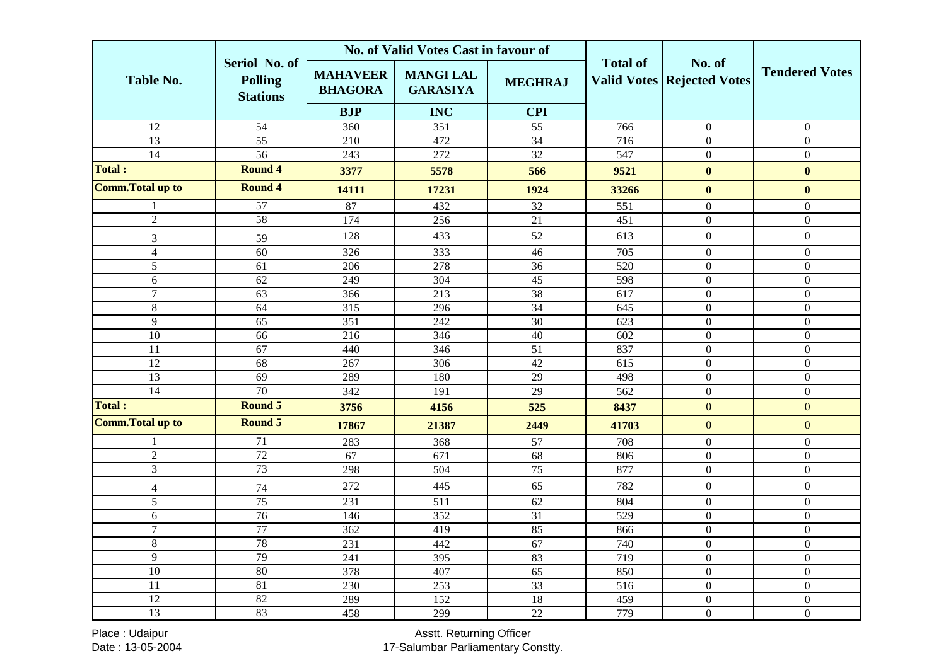|                          |                                                    | No. of Valid Votes Cast in favour of |                                     |                 |                  |                                             |                       |
|--------------------------|----------------------------------------------------|--------------------------------------|-------------------------------------|-----------------|------------------|---------------------------------------------|-----------------------|
| <b>Table No.</b>         | Seriol No. of<br><b>Polling</b><br><b>Stations</b> | <b>MAHAVEER</b><br><b>BHAGORA</b>    | <b>MANGI LAL</b><br><b>GARASIYA</b> | <b>MEGHRAJ</b>  | <b>Total of</b>  | No. of<br><b>Valid Votes Rejected Votes</b> | <b>Tendered Votes</b> |
|                          |                                                    | <b>BJP</b>                           | <b>INC</b>                          | <b>CPI</b>      |                  |                                             |                       |
| $\overline{12}$          | $\overline{54}$                                    | 360                                  | $\overline{351}$                    | $\overline{55}$ | 766              | $\overline{0}$                              | $\theta$              |
| $\overline{13}$          | $\overline{55}$                                    | $\overline{210}$                     | 472                                 | $\overline{34}$ | 716              | $\boldsymbol{0}$                            | $\mathbf{0}$          |
| 14                       | 56                                                 | $\overline{243}$                     | 272                                 | 32              | 547              | $\overline{0}$                              | $\overline{0}$        |
| <b>Total:</b>            | <b>Round 4</b>                                     | 3377                                 | 5578                                | 566             | 9521             | $\bf{0}$                                    | $\bf{0}$              |
| <b>Comm. Total up to</b> | <b>Round 4</b>                                     | 14111                                | 17231                               | 1924            | 33266            | $\bf{0}$                                    | $\bf{0}$              |
|                          | 57                                                 | 87                                   | 432                                 | 32              | 551              | $\boldsymbol{0}$                            | $\boldsymbol{0}$      |
| $\overline{2}$           | 58                                                 | 174                                  | 256                                 | $\overline{21}$ | 451              | $\boldsymbol{0}$                            | $\boldsymbol{0}$      |
| 3                        | 59                                                 | 128                                  | 433                                 | 52              | 613              | $\boldsymbol{0}$                            | $\boldsymbol{0}$      |
| $\overline{4}$           | 60                                                 | 326                                  | 333                                 | 46              | 705              | $\boldsymbol{0}$                            | $\boldsymbol{0}$      |
| $\overline{5}$           | 61                                                 | 206                                  | 278                                 | $\overline{36}$ | $\overline{520}$ | $\boldsymbol{0}$                            | $\mathbf{0}$          |
| 6                        | 62                                                 | 249                                  | 304                                 | 45              | 598              | $\boldsymbol{0}$                            | $\mathbf{0}$          |
| $\overline{7}$           | $\overline{63}$                                    | 366                                  | $\overline{213}$                    | 38              | $\overline{617}$ | $\overline{0}$                              | $\overline{0}$        |
| $\,8\,$                  | 64                                                 | 315                                  | 296                                 | 34              | 645              | $\boldsymbol{0}$                            | $\mathbf{0}$          |
| 9                        | 65                                                 | 351                                  | 242                                 | 30              | 623              | $\mathbf{0}$                                | $\Omega$              |
| 10                       | 66                                                 | 216                                  | 346                                 | 40              | 602              | $\boldsymbol{0}$                            | $\overline{0}$        |
| $\overline{11}$          | 67                                                 | 440                                  | 346                                 | $\overline{51}$ | 837              | $\overline{0}$                              | $\mathbf{0}$          |
| $\overline{12}$          | 68                                                 | 267                                  | 306                                 | $\overline{42}$ | $\overline{615}$ | $\boldsymbol{0}$                            | $\boldsymbol{0}$      |
| $\overline{13}$          | $\overline{69}$                                    | 289                                  | 180                                 | 29              | 498              | $\boldsymbol{0}$                            | $\mathbf{0}$          |
| $\overline{14}$          | 70                                                 | 342                                  | 191                                 | 29              | $\overline{562}$ | $\boldsymbol{0}$                            | $\boldsymbol{0}$      |
| <b>Total:</b>            | <b>Round 5</b>                                     | 3756                                 | 4156                                | 525             | 8437             | $\boldsymbol{0}$                            | $\mathbf{0}$          |
| <b>Comm. Total up to</b> | <b>Round 5</b>                                     | 17867                                | 21387                               | 2449            | 41703            | $\overline{0}$                              | $\overline{0}$        |
|                          | 71                                                 | 283                                  | 368                                 | 57              | 708              | $\boldsymbol{0}$                            | $\boldsymbol{0}$      |
| $\overline{2}$           | 72                                                 | 67                                   | 671                                 | 68              | 806              | $\boldsymbol{0}$                            | $\overline{0}$        |
| $\overline{3}$           | 73                                                 | 298                                  | 504                                 | 75              | 877              | $\boldsymbol{0}$                            | $\boldsymbol{0}$      |
| $\overline{\mathcal{L}}$ | 74                                                 | 272                                  | 445                                 | 65              | 782              | $\boldsymbol{0}$                            | $\boldsymbol{0}$      |
| 5                        | 75                                                 | 231                                  | 511                                 | 62              | 804              | $\boldsymbol{0}$                            | $\mathbf{0}$          |
| 6                        | 76                                                 | 146                                  | 352                                 | $\overline{31}$ | 529              | $\boldsymbol{0}$                            | $\boldsymbol{0}$      |
| $\overline{7}$           | 77                                                 | 362                                  | 419                                 | 85              | 866              | $\boldsymbol{0}$                            | $\mathbf{0}$          |
| $\overline{8}$           | 78                                                 | 231                                  | 442                                 | 67              | 740              | $\boldsymbol{0}$                            | $\overline{0}$        |
| 9                        | 79                                                 | 241                                  | 395                                 | 83              | 719              | $\boldsymbol{0}$                            | $\overline{0}$        |
| $\overline{10}$          | 80                                                 | 378                                  | 407                                 | $\overline{65}$ | 850              | $\overline{0}$                              | $\boldsymbol{0}$      |
| 11                       | 81                                                 | 230                                  | 253                                 | 33              | 516              | $\boldsymbol{0}$                            | $\boldsymbol{0}$      |
| $\overline{12}$          | $\overline{82}$                                    | 289                                  | $\overline{152}$                    | 18              | 459              | $\overline{0}$                              | $\boldsymbol{0}$      |
| 13                       | 83                                                 | 458                                  | 299                                 | $\overline{22}$ | 779              | $\boldsymbol{0}$                            | $\mathbf{0}$          |

Place : Udaipur Date : 13-05-2004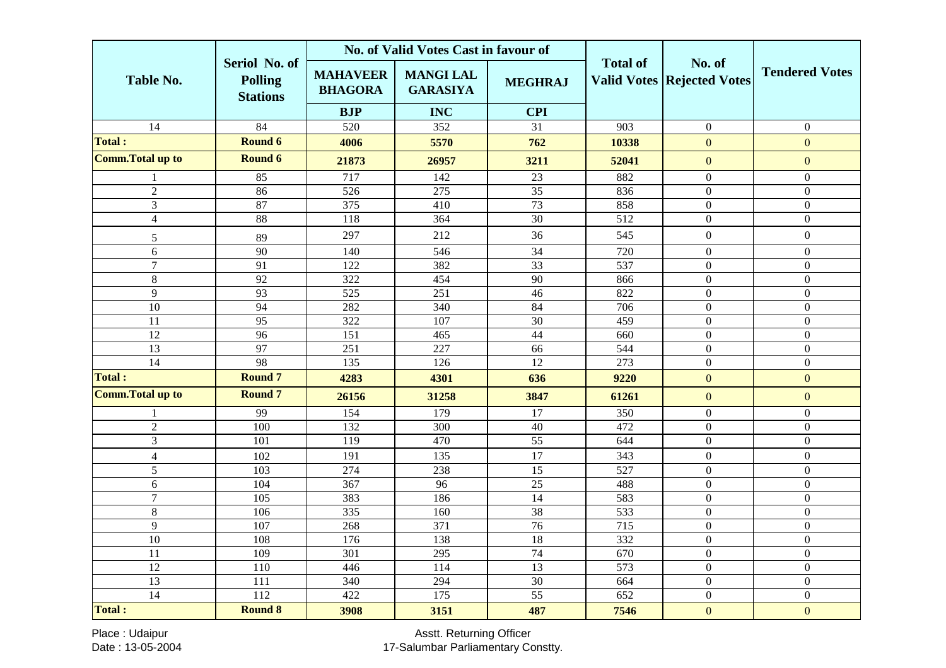|                         |                                                    | No. of Valid Votes Cast in favour of |                                     |                 |                  |                                             |                       |
|-------------------------|----------------------------------------------------|--------------------------------------|-------------------------------------|-----------------|------------------|---------------------------------------------|-----------------------|
| <b>Table No.</b>        | Seriol No. of<br><b>Polling</b><br><b>Stations</b> | <b>MAHAVEER</b><br><b>BHAGORA</b>    | <b>MANGI LAL</b><br><b>GARASIYA</b> | <b>MEGHRAJ</b>  | <b>Total of</b>  | No. of<br><b>Valid Votes Rejected Votes</b> | <b>Tendered Votes</b> |
|                         |                                                    | <b>BJP</b>                           | <b>INC</b>                          | <b>CPI</b>      |                  |                                             |                       |
| 14                      | $\overline{84}$                                    | 520                                  | 352                                 | 31              | 903              | $\boldsymbol{0}$                            | $\overline{0}$        |
| <b>Total:</b>           | <b>Round 6</b>                                     | 4006                                 | 5570                                | 762             | 10338            | $\overline{0}$                              | $\mathbf{0}$          |
| <b>Comm.Total up to</b> | Round 6                                            | 21873                                | 26957                               | 3211            | 52041            | $\mathbf{0}$                                | $\mathbf{0}$          |
| 1                       | 85                                                 | 717                                  | 142                                 | 23              | 882              | $\overline{0}$                              | $\boldsymbol{0}$      |
| $\overline{2}$          | 86                                                 | $\overline{526}$                     | $\overline{275}$                    | $\overline{35}$ | 836              | $\boldsymbol{0}$                            | $\overline{0}$        |
| $\overline{3}$          | 87                                                 | 375                                  | 410                                 | 73              | 858              | $\boldsymbol{0}$                            | $\boldsymbol{0}$      |
| $\overline{4}$          | 88                                                 | 118                                  | 364                                 | $\overline{30}$ | 512              | $\boldsymbol{0}$                            | $\boldsymbol{0}$      |
| 5                       | 89                                                 | 297                                  | 212                                 | 36              | 545              | $\boldsymbol{0}$                            | $\boldsymbol{0}$      |
| 6                       | $\overline{90}$                                    | 140                                  | 546                                 | $\overline{34}$ | 720              | $\overline{0}$                              | $\boldsymbol{0}$      |
| $\overline{7}$          | $\overline{91}$                                    | 122                                  | 382                                 | $\overline{33}$ | 537              | $\boldsymbol{0}$                            | $\boldsymbol{0}$      |
| $\,8\,$                 | 92                                                 | 322                                  | 454                                 | 90              | 866              | $\boldsymbol{0}$                            | $\mathbf{0}$          |
| $\overline{9}$          | 93                                                 | $\overline{525}$                     | $\overline{251}$                    | 46              | $\overline{822}$ | $\boldsymbol{0}$                            | $\overline{0}$        |
| $\overline{10}$         | 94                                                 | 282                                  | 340                                 | $\overline{84}$ | 706              | $\overline{0}$                              | $\overline{0}$        |
| 11                      | 95                                                 | 322                                  | 107                                 | 30              | 459              | $\boldsymbol{0}$                            | $\boldsymbol{0}$      |
| $\overline{12}$         | 96                                                 | 151                                  | 465                                 | 44              | 660              | $\boldsymbol{0}$                            | $\boldsymbol{0}$      |
| 13                      | 97                                                 | 251                                  | $\overline{227}$                    | 66              | 544              | $\boldsymbol{0}$                            | $\mathbf{0}$          |
| $\overline{14}$         | 98                                                 | 135                                  | 126                                 | $\overline{12}$ | $\overline{273}$ | $\boldsymbol{0}$                            | $\overline{0}$        |
| <b>Total:</b>           | <b>Round 7</b>                                     | 4283                                 | 4301                                | 636             | 9220             | $\mathbf{0}$                                | $\overline{0}$        |
| <b>Comm.Total up to</b> | <b>Round 7</b>                                     | 26156                                | 31258                               | 3847            | 61261            | $\overline{0}$                              | $\overline{0}$        |
| 1                       | 99                                                 | 154                                  | 179                                 | 17              | 350              | $\boldsymbol{0}$                            | $\boldsymbol{0}$      |
| $\overline{2}$          | 100                                                | $\overline{132}$                     | $\overline{300}$                    | 40              | 472              | $\boldsymbol{0}$                            | $\boldsymbol{0}$      |
| $\overline{3}$          | 101                                                | 119                                  | 470                                 | $\overline{55}$ | 644              | $\mathbf{0}$                                | $\Omega$              |
| $\overline{4}$          | 102                                                | 191                                  | 135                                 | 17              | 343              | $\boldsymbol{0}$                            | $\overline{0}$        |
| $\overline{5}$          | 103                                                | 274                                  | 238                                 | 15              | 527              | $\boldsymbol{0}$                            | $\boldsymbol{0}$      |
| 6                       | 104                                                | 367                                  | 96                                  | 25              | 488              | $\boldsymbol{0}$                            | $\boldsymbol{0}$      |
| $\overline{7}$          | 105                                                | 383                                  | 186                                 | 14              | 583              | $\boldsymbol{0}$                            | $\mathbf{0}$          |
| $\overline{8}$          | 106                                                | 335                                  | 160                                 | $\overline{38}$ | 533              | $\overline{0}$                              | $\overline{0}$        |
| 9                       | 107                                                | 268                                  | 371                                 | 76              | 715              | $\overline{0}$                              | $\overline{0}$        |
| $\overline{10}$         | 108                                                | 176                                  | 138                                 | 18              | 332              | $\overline{0}$                              | $\Omega$              |
| 11                      | 109                                                | 301                                  | 295                                 | 74              | 670              | $\boldsymbol{0}$                            | $\boldsymbol{0}$      |
| $\overline{12}$         | 110                                                | 446                                  | 114                                 | 13              | 573              | $\boldsymbol{0}$                            | $\boldsymbol{0}$      |
| 13                      | 111                                                | 340                                  | 294                                 | $\overline{30}$ | 664              | $\boldsymbol{0}$                            | $\boldsymbol{0}$      |
| $\overline{14}$         | $\overline{112}$                                   | 422                                  | 175                                 | $\overline{55}$ | $\overline{652}$ | $\boldsymbol{0}$                            | $\mathbf{0}$          |
| <b>Total:</b>           | <b>Round 8</b>                                     | 3908                                 | 3151                                | 487             | 7546             | $\mathbf{0}$                                | $\mathbf{0}$          |

Place : Udaipur Date : 13-05-2004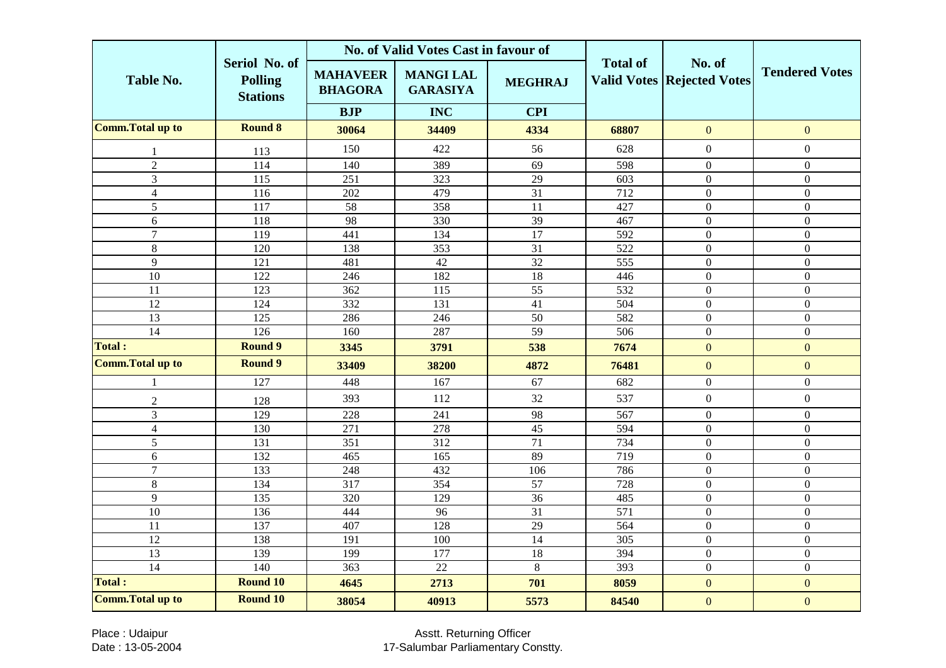|                          |                                                    |                                   | No. of Valid Votes Cast in favour of |                 |                  |                                             |                       |
|--------------------------|----------------------------------------------------|-----------------------------------|--------------------------------------|-----------------|------------------|---------------------------------------------|-----------------------|
| <b>Table No.</b>         | Seriol No. of<br><b>Polling</b><br><b>Stations</b> | <b>MAHAVEER</b><br><b>BHAGORA</b> | <b>MANGI LAL</b><br><b>GARASIYA</b>  | <b>MEGHRAJ</b>  | <b>Total of</b>  | No. of<br><b>Valid Votes Rejected Votes</b> | <b>Tendered Votes</b> |
|                          |                                                    | <b>BJP</b>                        | <b>INC</b>                           | <b>CPI</b>      |                  |                                             |                       |
| <b>Comm. Total up to</b> | <b>Round 8</b>                                     | 30064                             | 34409                                | 4334            | 68807            | $\overline{0}$                              | $\mathbf{0}$          |
| 1                        | 113                                                | 150                               | 422                                  | 56              | 628              | $\boldsymbol{0}$                            | $\boldsymbol{0}$      |
| $\overline{2}$           | 114                                                | 140                               | 389                                  | 69              | 598              | $\boldsymbol{0}$                            | $\Omega$              |
| 3                        | 115                                                | 251                               | 323                                  | 29              | 603              | $\mathbf{0}$                                | $\boldsymbol{0}$      |
| $\overline{4}$           | 116                                                | 202                               | 479                                  | $\overline{31}$ | $\overline{712}$ | $\boldsymbol{0}$                            | $\boldsymbol{0}$      |
| $\overline{5}$           | 117                                                | 58                                | 358                                  | 11              | 427              | $\overline{0}$                              | $\boldsymbol{0}$      |
| 6                        | 118                                                | 98                                | 330                                  | 39              | 467              | $\overline{0}$                              | $\overline{0}$        |
| $\overline{7}$           | 119                                                | 441                               | 134                                  | 17              | 592              | $\boldsymbol{0}$                            | $\boldsymbol{0}$      |
| 8                        | 120                                                | 138                               | 353                                  | 31              | 522              | $\overline{0}$                              | $\mathbf{0}$          |
| 9                        | 121                                                | 481                               | 42                                   | $\overline{32}$ | 555              | $\boldsymbol{0}$                            | $\overline{0}$        |
| $\overline{10}$          | 122                                                | 246                               | 182                                  | 18              | 446              | $\boldsymbol{0}$                            | $\overline{0}$        |
| 11                       | 123                                                | 362                               | 115                                  | $\overline{55}$ | 532              | $\boldsymbol{0}$                            | $\mathbf{0}$          |
| 12                       | 124                                                | 332                               | 131                                  | 41              | 504              | $\boldsymbol{0}$                            | $\mathbf{0}$          |
| 13                       | 125                                                | 286                               | 246                                  | 50              | 582              | $\overline{0}$                              | $\Omega$              |
| $\overline{14}$          | $\frac{126}{2}$                                    | 160                               | 287                                  | $\overline{59}$ | $\overline{506}$ | $\boldsymbol{0}$                            | $\boldsymbol{0}$      |
| <b>Total:</b>            | <b>Round 9</b>                                     | 3345                              | 3791                                 | 538             | 7674             | $\overline{0}$                              | $\mathbf{0}$          |
| <b>Comm. Total up to</b> | <b>Round 9</b>                                     | 33409                             | 38200                                | 4872            | 76481            | $\mathbf{0}$                                | $\mathbf{0}$          |
|                          | 127                                                | 448                               | 167                                  | 67              | 682              | $\boldsymbol{0}$                            | $\mathbf{0}$          |
| $\mathfrak{2}$           | 128                                                | 393                               | 112                                  | 32              | 537              | $\boldsymbol{0}$                            | $\boldsymbol{0}$      |
| $\overline{3}$           | 129                                                | 228                               | 241                                  | 98              | 567              | $\boldsymbol{0}$                            | $\boldsymbol{0}$      |
| $\overline{4}$           | 130                                                | 271                               | 278                                  | 45              | 594              | $\overline{0}$                              | $\overline{0}$        |
| $\overline{5}$           | 131                                                | 351                               | 312                                  | $\overline{71}$ | 734              | $\boldsymbol{0}$                            | $\mathbf{0}$          |
| 6                        | 132                                                | 465                               | 165                                  | 89              | 719              | $\boldsymbol{0}$                            | $\mathbf{0}$          |
| $\overline{7}$           | 133                                                | 248                               | 432                                  | 106             | 786              | $\overline{0}$                              | $\Omega$              |
| 8                        | 134                                                | 317                               | 354                                  | 57              | 728              | $\mathbf{0}$                                | $\Omega$              |
| $\overline{9}$           | 135                                                | 320                               | 129                                  | 36              | 485              | $\boldsymbol{0}$                            | $\boldsymbol{0}$      |
| 10                       | 136                                                | 444                               | $\overline{96}$                      | $\overline{31}$ | 571              | $\overline{0}$                              | $\overline{0}$        |
| 11                       | 137                                                | 407                               | 128                                  | 29              | 564              | $\boldsymbol{0}$                            | $\overline{0}$        |
| 12                       | 138                                                | 191                               | 100                                  | 14              | 305              | $\boldsymbol{0}$                            | $\overline{0}$        |
| 13                       | 139                                                | 199                               | 177                                  | 18              | 394              | $\mathbf{0}$                                | $\Omega$              |
| $\overline{14}$          | 140                                                | 363                               | $\overline{22}$                      | $8\,$           | 393              | $\boldsymbol{0}$                            | $\boldsymbol{0}$      |
| <b>Total:</b>            | <b>Round 10</b>                                    | 4645                              | 2713                                 | 701             | 8059             | $\mathbf{0}$                                | $\overline{0}$        |
| <b>Comm.Total up to</b>  | <b>Round 10</b>                                    | 38054                             | 40913                                | 5573            | 84540            | $\overline{0}$                              | $\overline{0}$        |